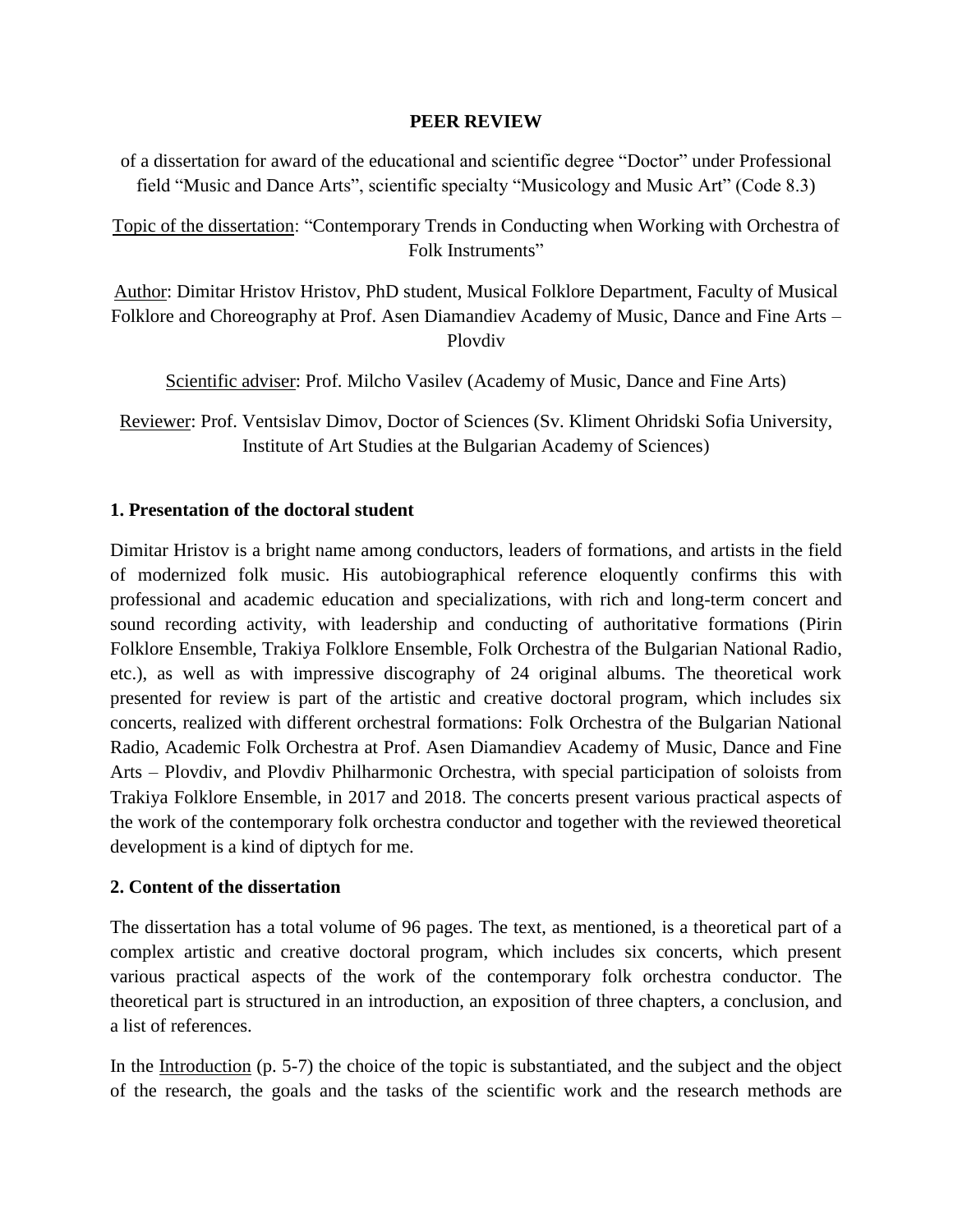### **PEER REVIEW**

of a dissertation for award of the educational and scientific degree "Doctor" under Professional field "Music and Dance Arts", scientific specialty "Musicology and Music Art" (Code 8.3)

Topic of the dissertation: "Contemporary Trends in Conducting when Working with Orchestra of Folk Instruments"

Author: Dimitar Hristov Hristov, PhD student, Musical Folklore Department, Faculty of Musical Folklore and Choreography at Prof. Asen Diamandiev Academy of Music, Dance and Fine Arts – Plovdiv

Scientific adviser: Prof. Milcho Vasilev (Academy of Music, Dance and Fine Arts)

Reviewer: Prof. Ventsislav Dimov, Doctor of Sciences (Sv. Kliment Ohridski Sofia University, Institute of Art Studies at the Bulgarian Academy of Sciences)

# **1. Presentation of the doctoral student**

Dimitar Hristov is a bright name among conductors, leaders of formations, and artists in the field of modernized folk music. His autobiographical reference eloquently confirms this with professional and academic education and specializations, with rich and long-term concert and sound recording activity, with leadership and conducting of authoritative formations (Pirin Folklore Ensemble, Trakiya Folklore Ensemble, Folk Orchestra of the Bulgarian National Radio, etc.), as well as with impressive discography of 24 original albums. The theoretical work presented for review is part of the artistic and creative doctoral program, which includes six concerts, realized with different orchestral formations: Folk Orchestra of the Bulgarian National Radio, Academic Folk Orchestra at Prof. Asen Diamandiev Academy of Music, Dance and Fine Arts – Plovdiv, and Plovdiv Philharmonic Orchestra, with special participation of soloists from Trakiya Folklore Ensemble, in 2017 and 2018. The concerts present various practical aspects of the work of the contemporary folk orchestra conductor and together with the reviewed theoretical development is a kind of diptych for me.

# **2. Content of the dissertation**

The dissertation has a total volume of 96 pages. The text, as mentioned, is a theoretical part of a complex artistic and creative doctoral program, which includes six concerts, which present various practical aspects of the work of the contemporary folk orchestra conductor. The theoretical part is structured in an introduction, an exposition of three chapters, a conclusion, and a list of references.

In the Introduction (p. 5-7) the choice of the topic is substantiated, and the subject and the object of the research, the goals and the tasks of the scientific work and the research methods are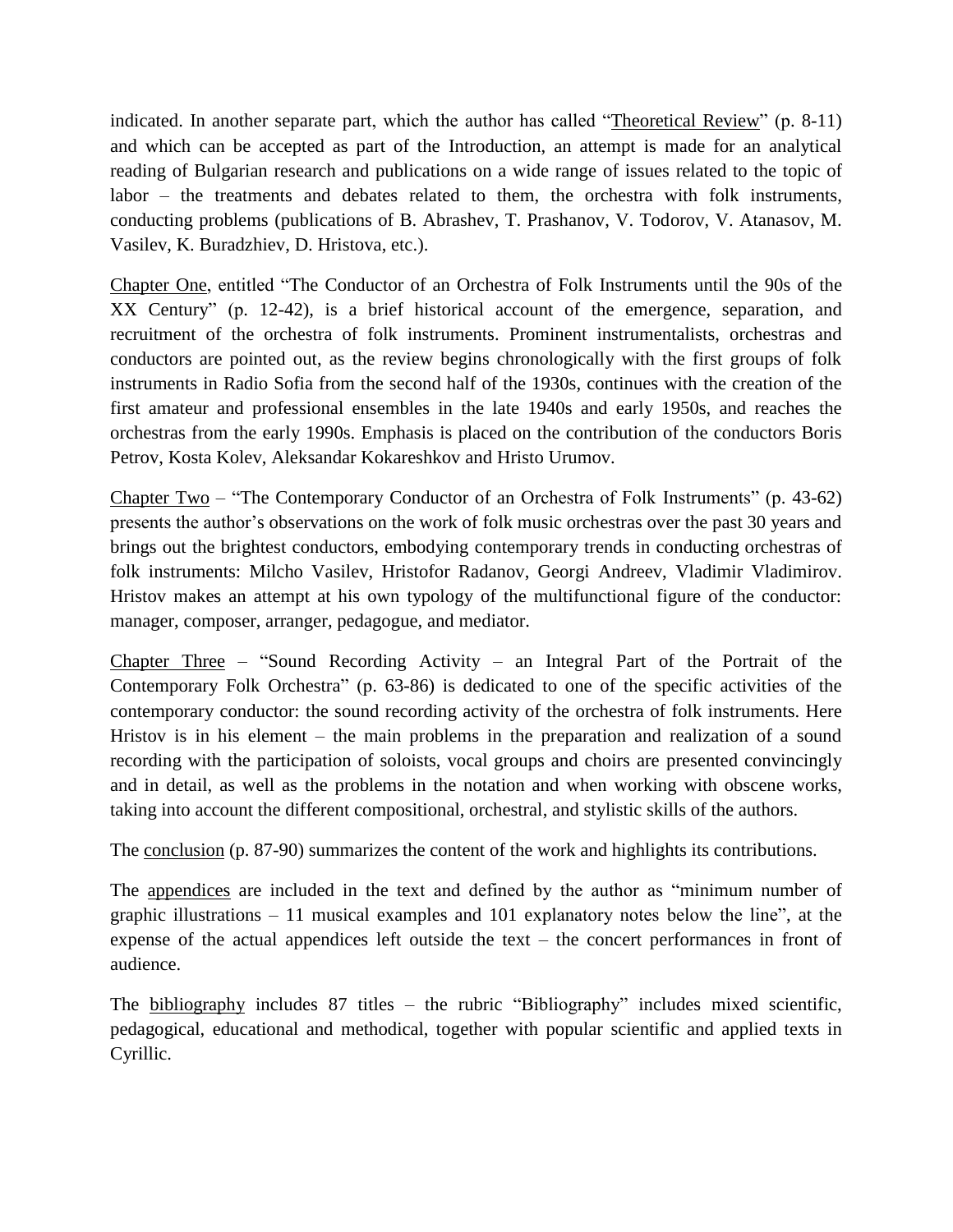indicated. In another separate part, which the author has called "Theoretical Review" (p. 8-11) and which can be accepted as part of the Introduction, an attempt is made for an analytical reading of Bulgarian research and publications on a wide range of issues related to the topic of labor – the treatments and debates related to them, the orchestra with folk instruments, conducting problems (publications of B. Abrashev, T. Prashanov, V. Todorov, V. Atanasov, M. Vasilev, K. Buradzhiev, D. Hristova, etc.).

Chapter One, entitled "The Conductor of an Orchestra of Folk Instruments until the 90s of the XX Century" (p. 12-42), is a brief historical account of the emergence, separation, and recruitment of the orchestra of folk instruments. Prominent instrumentalists, orchestras and conductors are pointed out, as the review begins chronologically with the first groups of folk instruments in Radio Sofia from the second half of the 1930s, continues with the creation of the first amateur and professional ensembles in the late 1940s and early 1950s, and reaches the orchestras from the early 1990s. Emphasis is placed on the contribution of the conductors Boris Petrov, Kosta Kolev, Aleksandar Kokareshkov and Hristo Urumov.

Chapter Two – "The Contemporary Conductor of an Orchestra of Folk Instruments" (p. 43-62) presents the author's observations on the work of folk music orchestras over the past 30 years and brings out the brightest conductors, embodying contemporary trends in conducting orchestras of folk instruments: Milcho Vasilev, Hristofor Radanov, Georgi Andreev, Vladimir Vladimirov. Hristov makes an attempt at his own typology of the multifunctional figure of the conductor: manager, composer, arranger, pedagogue, and mediator.

Chapter Three – "Sound Recording Activity – an Integral Part of the Portrait of the Contemporary Folk Orchestra" (p. 63-86) is dedicated to one of the specific activities of the contemporary conductor: the sound recording activity of the orchestra of folk instruments. Here Hristov is in his element – the main problems in the preparation and realization of a sound recording with the participation of soloists, vocal groups and choirs are presented convincingly and in detail, as well as the problems in the notation and when working with obscene works, taking into account the different compositional, orchestral, and stylistic skills of the authors.

The conclusion (p. 87-90) summarizes the content of the work and highlights its contributions.

The appendices are included in the text and defined by the author as "minimum number of graphic illustrations – 11 musical examples and 101 explanatory notes below the line", at the expense of the actual appendices left outside the text – the concert performances in front of audience.

The bibliography includes 87 titles – the rubric "Bibliography" includes mixed scientific, pedagogical, educational and methodical, together with popular scientific and applied texts in Cyrillic.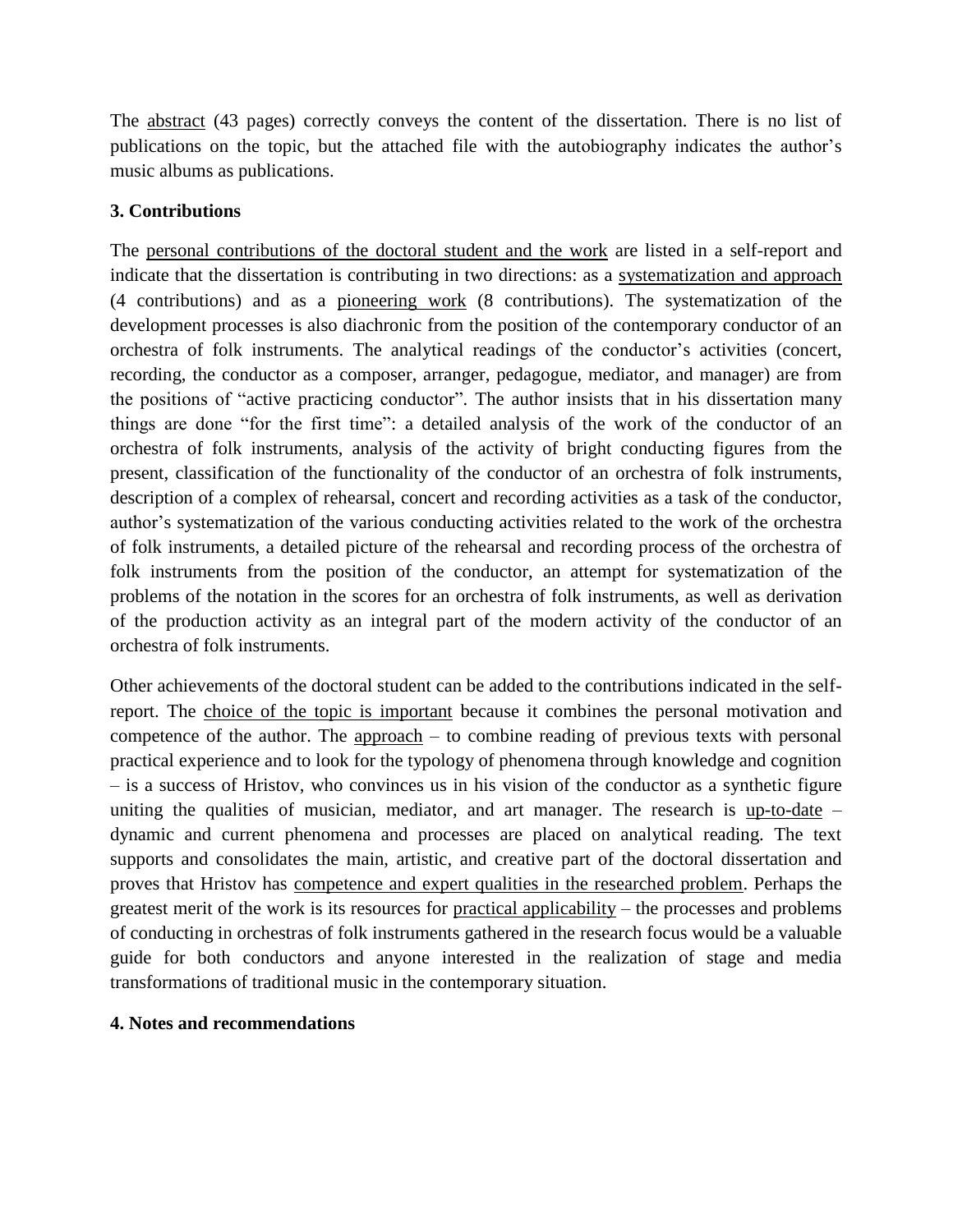The abstract (43 pages) correctly conveys the content of the dissertation. There is no list of publications on the topic, but the attached file with the autobiography indicates the author's music albums as publications.

# **3. Contributions**

The personal contributions of the doctoral student and the work are listed in a self-report and indicate that the dissertation is contributing in two directions: as a systematization and approach (4 contributions) and as a pioneering work (8 contributions). The systematization of the development processes is also diachronic from the position of the contemporary conductor of an orchestra of folk instruments. The analytical readings of the conductor's activities (concert, recording, the conductor as a composer, arranger, pedagogue, mediator, and manager) are from the positions of "active practicing conductor". The author insists that in his dissertation many things are done "for the first time": a detailed analysis of the work of the conductor of an orchestra of folk instruments, analysis of the activity of bright conducting figures from the present, classification of the functionality of the conductor of an orchestra of folk instruments, description of a complex of rehearsal, concert and recording activities as a task of the conductor, author's systematization of the various conducting activities related to the work of the orchestra of folk instruments, a detailed picture of the rehearsal and recording process of the orchestra of folk instruments from the position of the conductor, an attempt for systematization of the problems of the notation in the scores for an orchestra of folk instruments, as well as derivation of the production activity as an integral part of the modern activity of the conductor of an orchestra of folk instruments.

Other achievements of the doctoral student can be added to the contributions indicated in the selfreport. The choice of the topic is important because it combines the personal motivation and competence of the author. The  $\frac{approxch}{dt}$  – to combine reading of previous texts with personal practical experience and to look for the typology of phenomena through knowledge and cognition – is a success of Hristov, who convinces us in his vision of the conductor as a synthetic figure uniting the qualities of musician, mediator, and art manager. The research is up-to-date – dynamic and current phenomena and processes are placed on analytical reading. The text supports and consolidates the main, artistic, and creative part of the doctoral dissertation and proves that Hristov has competence and expert qualities in the researched problem. Perhaps the greatest merit of the work is its resources for practical applicability – the processes and problems of conducting in orchestras of folk instruments gathered in the research focus would be a valuable guide for both conductors and anyone interested in the realization of stage and media transformations of traditional music in the contemporary situation.

# **4. Notes and recommendations**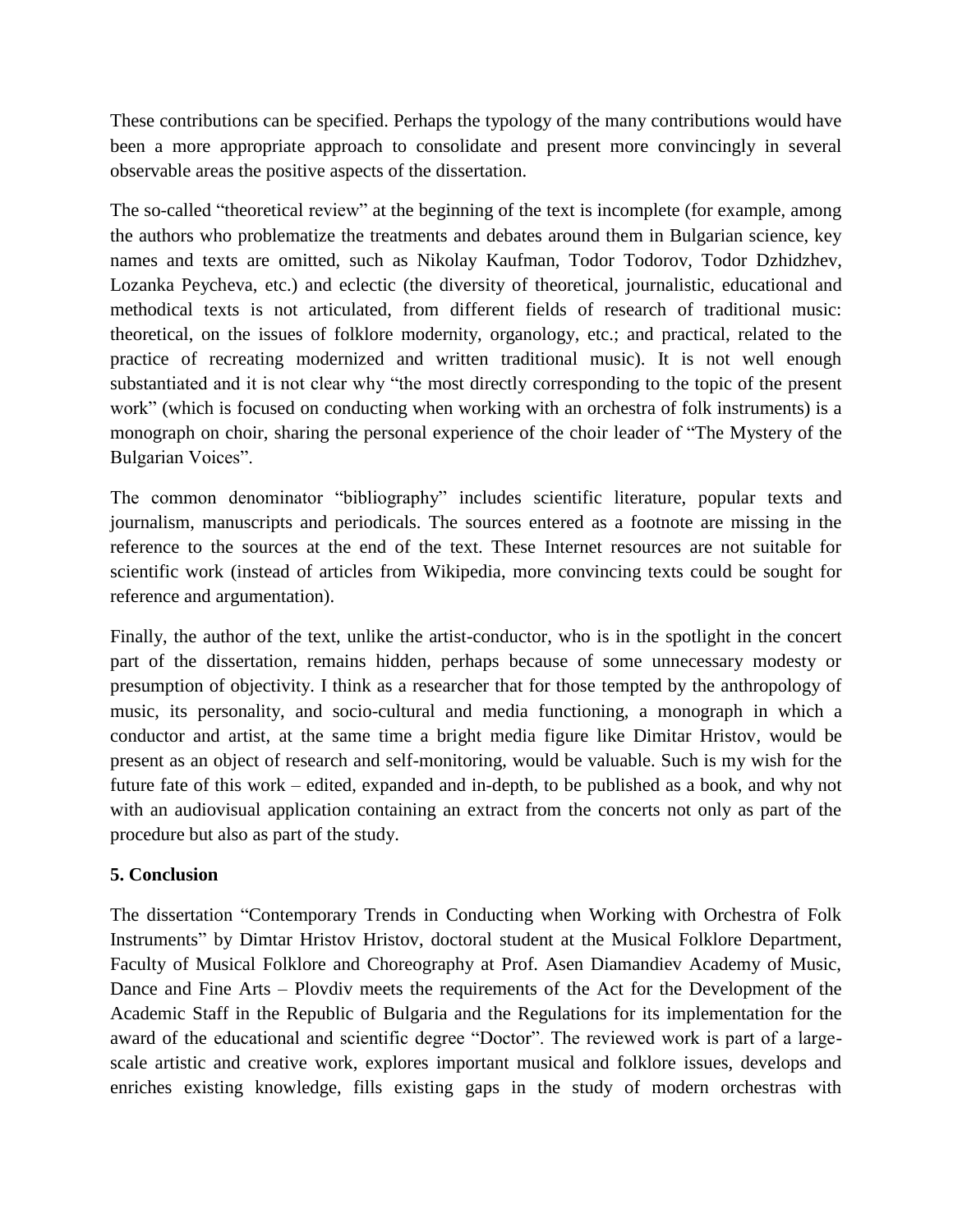These contributions can be specified. Perhaps the typology of the many contributions would have been a more appropriate approach to consolidate and present more convincingly in several observable areas the positive aspects of the dissertation.

The so-called "theoretical review" at the beginning of the text is incomplete (for example, among the authors who problematize the treatments and debates around them in Bulgarian science, key names and texts are omitted, such as Nikolay Kaufman, Todor Todorov, Todor Dzhidzhev, Lozanka Peycheva, etc.) and eclectic (the diversity of theoretical, journalistic, educational and methodical texts is not articulated, from different fields of research of traditional music: theoretical, on the issues of folklore modernity, organology, etc.; and practical, related to the practice of recreating modernized and written traditional music). It is not well enough substantiated and it is not clear why "the most directly corresponding to the topic of the present work" (which is focused on conducting when working with an orchestra of folk instruments) is a monograph on choir, sharing the personal experience of the choir leader of "The Mystery of the Bulgarian Voices".

The common denominator "bibliography" includes scientific literature, popular texts and journalism, manuscripts and periodicals. The sources entered as a footnote are missing in the reference to the sources at the end of the text. These Internet resources are not suitable for scientific work (instead of articles from Wikipedia, more convincing texts could be sought for reference and argumentation).

Finally, the author of the text, unlike the artist-conductor, who is in the spotlight in the concert part of the dissertation, remains hidden, perhaps because of some unnecessary modesty or presumption of objectivity. I think as a researcher that for those tempted by the anthropology of music, its personality, and socio-cultural and media functioning, a monograph in which a conductor and artist, at the same time a bright media figure like Dimitar Hristov, would be present as an object of research and self-monitoring, would be valuable. Such is my wish for the future fate of this work – edited, expanded and in-depth, to be published as a book, and why not with an audiovisual application containing an extract from the concerts not only as part of the procedure but also as part of the study.

# **5. Conclusion**

The dissertation "Contemporary Trends in Conducting when Working with Orchestra of Folk Instruments" by Dimtar Hristov Hristov, doctoral student at the Musical Folklore Department, Faculty of Musical Folklore and Choreography at Prof. Asen Diamandiev Academy of Music, Dance and Fine Arts – Plovdiv meets the requirements of the Act for the Development of the Academic Staff in the Republic of Bulgaria and the Regulations for its implementation for the award of the educational and scientific degree "Doctor". The reviewed work is part of a largescale artistic and creative work, explores important musical and folklore issues, develops and enriches existing knowledge, fills existing gaps in the study of modern orchestras with